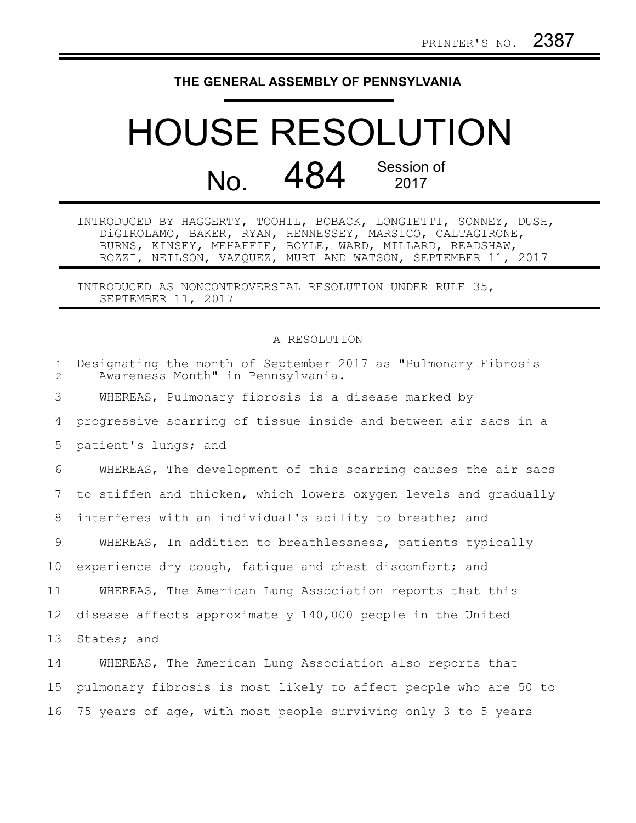## **THE GENERAL ASSEMBLY OF PENNSYLVANIA**

## HOUSE RESOLUTION No. 484 Session of 2017

INTRODUCED BY HAGGERTY, TOOHIL, BOBACK, LONGIETTI, SONNEY, DUSH, DiGIROLAMO, BAKER, RYAN, HENNESSEY, MARSICO, CALTAGIRONE, BURNS, KINSEY, MEHAFFIE, BOYLE, WARD, MILLARD, READSHAW, ROZZI, NEILSON, VAZQUEZ, MURT AND WATSON, SEPTEMBER 11, 2017

INTRODUCED AS NONCONTROVERSIAL RESOLUTION UNDER RULE 35, SEPTEMBER 11, 2017

## A RESOLUTION

| $\mathbf{1}$<br>2 | Designating the month of September 2017 as "Pulmonary Fibrosis<br>Awareness Month" in Pennsylvania. |
|-------------------|-----------------------------------------------------------------------------------------------------|
| 3                 | WHEREAS, Pulmonary fibrosis is a disease marked by                                                  |
| 4                 | progressive scarring of tissue inside and between air sacs in a                                     |
| 5                 | patient's lungs; and                                                                                |
| 6                 | WHEREAS, The development of this scarring causes the air sacs                                       |
| 7                 | to stiffen and thicken, which lowers oxygen levels and gradually                                    |
| 8                 | interferes with an individual's ability to breathe; and                                             |
| $\overline{9}$    | WHEREAS, In addition to breathlessness, patients typically                                          |
| 10 <sub>o</sub>   | experience dry cough, fatigue and chest discomfort; and                                             |
| 11                | WHEREAS, The American Lung Association reports that this                                            |
| 12 <sup>°</sup>   | disease affects approximately 140,000 people in the United                                          |
| 13                | States; and                                                                                         |
| 14                | WHEREAS, The American Lung Association also reports that                                            |
| 15                | pulmonary fibrosis is most likely to affect people who are 50 to                                    |
| 16                | 75 years of age, with most people surviving only 3 to 5 years                                       |